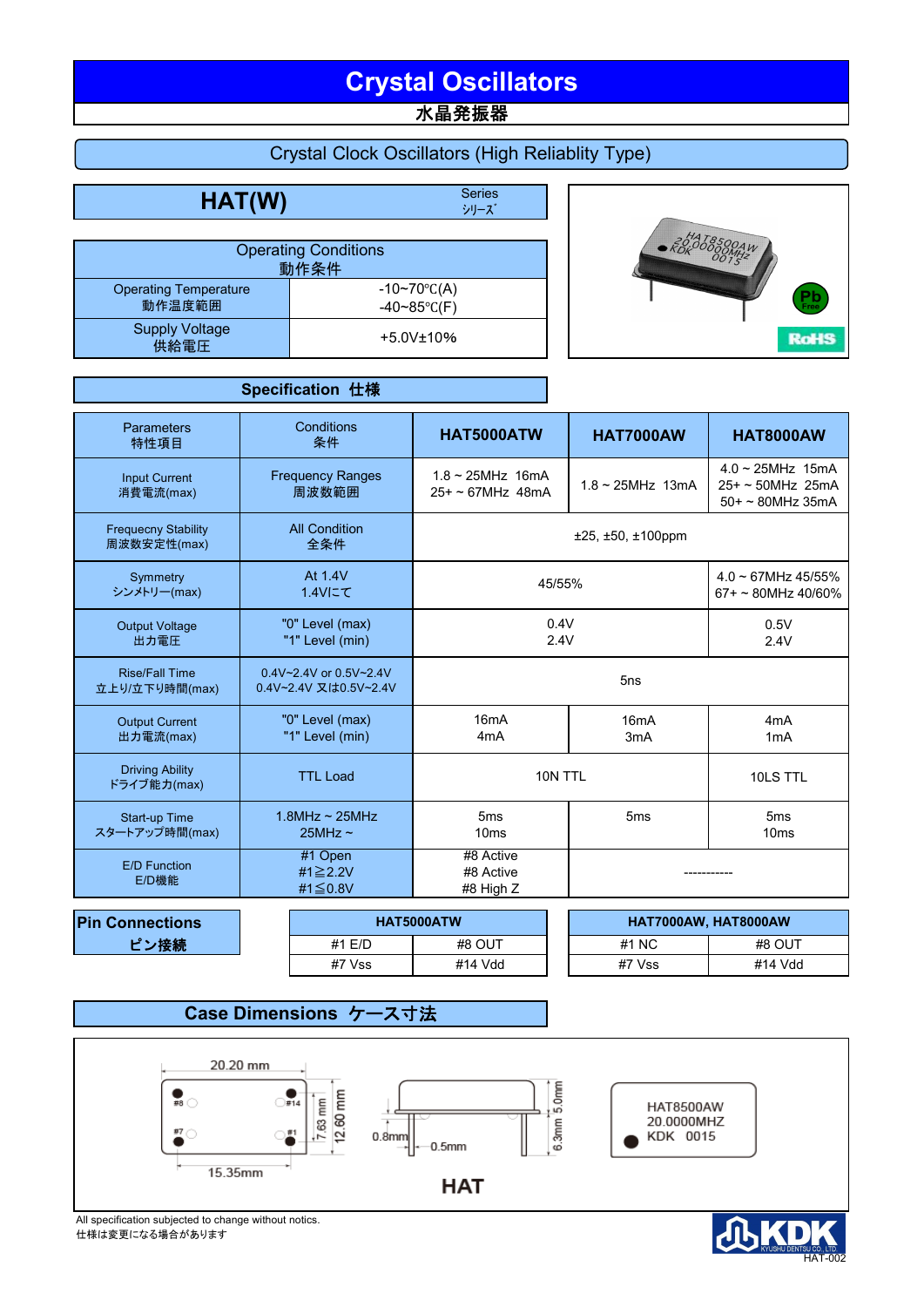# **Crystal Oscillators**

水晶発振器

## Crystal Clock Oscillators (High Reliablity Type)

**HAT(W)** Series

シリーズ

|                                        | <b>Operating Conditions</b><br>動作条件          |
|----------------------------------------|----------------------------------------------|
| <b>Operating Temperature</b><br>動作温度範囲 | $-10~70$ °C(A)<br>$-40 \sim 85^{\circ}$ C(F) |
| <b>Supply Voltage</b><br>供給電圧          | $+5.0V$ ±10%                                 |



|                                           | Specification 仕様                                |                                                                                |                                                       |                                                                    |  |  |
|-------------------------------------------|-------------------------------------------------|--------------------------------------------------------------------------------|-------------------------------------------------------|--------------------------------------------------------------------|--|--|
| Parameters<br>特性項目                        | Conditions<br>条件                                | HAT5000ATW                                                                     | <b>HAT7000AW</b>                                      | <b>HAT8000AW</b>                                                   |  |  |
| <b>Input Current</b><br>消費電流(max)         | <b>Frequency Ranges</b><br>周波数範囲                | $1.8 \sim 25$ MHz 16mA<br>$25+ - 67$ MHz 48mA                                  | $1.8 \sim 25$ MHz 13mA                                | $4.0 \sim 25$ MHz 15mA<br>$25+$ ~ 50MHz 25mA<br>$50+$ ~ 80MHz 35mA |  |  |
| <b>Frequecny Stability</b><br>周波数安定性(max) | <b>All Condition</b><br>全条件                     |                                                                                |                                                       |                                                                    |  |  |
| Symmetry<br>シンメトリー(max)                   | At 1.4V<br>1.4Vにて                               | 45/55%                                                                         | $4.0 \sim 67$ MHz 45/55%<br>$67 + \sim 80$ MHz 40/60% |                                                                    |  |  |
| <b>Output Voltage</b><br>出力電圧             | "0" Level (max)<br>"1" Level (min)              | 0.4V<br>2.4V                                                                   | 0.5V<br>2.4V                                          |                                                                    |  |  |
| <b>Rise/Fall Time</b><br>立上り/立下り時間(max)   | 0.4V~2.4V or 0.5V~2.4V<br>0.4V~2.4V 又は0.5V~2.4V |                                                                                |                                                       |                                                                    |  |  |
| <b>Output Current</b><br>出力電流(max)        | "0" Level (max)<br>"1" Level (min)              | 16 <sub>m</sub> A<br>16 <sub>m</sub> A<br>4 <sub>m</sub> A<br>3 <sub>m</sub> A |                                                       | 4 <sub>m</sub> A<br>1mA                                            |  |  |
| <b>Driving Ability</b><br>ドライブ能力(max)     | <b>TTL Load</b>                                 | 10N TTL                                                                        | 10LS TTL                                              |                                                                    |  |  |
| Start-up Time<br>スタートアップ時間(max)           | $1.8$ MHz ~ $25$ MHz<br>$25MHz \sim$            | 5 <sub>ms</sub><br>10 <sub>ms</sub>                                            | 5 <sub>ms</sub>                                       | 5 <sub>ms</sub><br>10ms                                            |  |  |
| <b>E/D Function</b><br>E/D機能              | #1 Open<br>#1≥2.2V<br>#1≦0.8V                   | #8 Active<br>#8 Active<br>#8 High Z                                            |                                                       |                                                                    |  |  |

| <b>Pin Connections</b> |  |        | HAT5000ATW | HAT7000AW, HAT8000AW |         |                 |        |
|------------------------|--|--------|------------|----------------------|---------|-----------------|--------|
| ピン接続                   |  |        |            | #1 E/D               | #8 OUT  | #1<br><b>NC</b> | #8 OUT |
|                        |  | #7 Vss | #14 Vdd    | #7 Vss               | #14 Vdd |                 |        |

**Case Dimensions ケース寸法** 



All specification subjected to change without notics. 仕様は変更になる場合があります